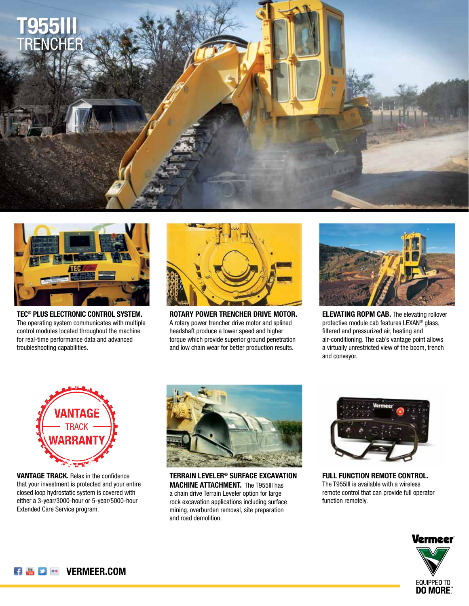



**TEC® PLUS ELECTRONIC CONTROL SYSTEM.** The operating system communicates with multiple control modules located throughout the machine for real-time performance data and advanced troubleshooting capabilities.



**ROTARY POWER TRENCHER DRIVE MOTOR.** A rotary power trencher drive motor and splined headshaft produce a lower speed and higher torque which provide superior ground penetration and low chain wear for better production results.



**ELEVATING ROPM CAB.** The elevating rollover protective module cab features LEXAN® glass, filtered and pressurized air, heating and air-conditioning. The cab's vantage point allows a virtually unrestricted view of the boom, trench and conveyor.



**VANTAGE TRACK.** Relax in the confidence that your investment is protected and your entire closed loop hydrostatic system is covered with either a 3-year/3000-hour or 5-year/5000-hour Extended Care Service program.



**TERRAIN LEVELER® SURFACE EXCAVATION MACHINE ATTACHMENT.** The T955III has a chain drive Terrain Leveler option for large rock excavation applications including surface mining, overburden removal, site preparation and road demolition.



**FULL FUNCTION REMOTE CONTROL.** The T955III is available with a wireless remote control that can provide full operator function remotely.